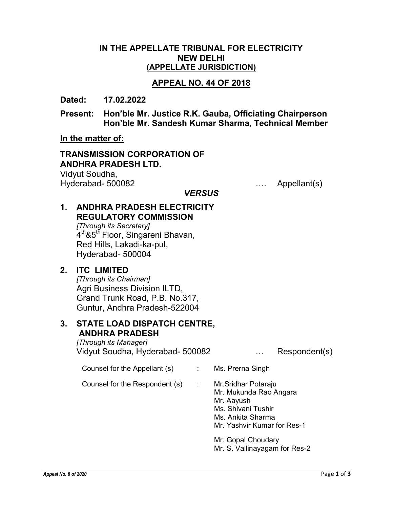#### IN THE APPELLATE TRIBUNAL FOR ELECTRICITY NEW DELHI (APPELLATE JURISDICTION)

### APPEAL NO. 44 OF 2018

Dated: 17.02.2022

Present: Hon'ble Mr. Justice R.K. Gauba, Officiating Chairperson Hon'ble Mr. Sandesh Kumar Sharma, Technical Member

**VERSUS** 

In the matter of:

## TRANSMISSION CORPORATION OF ANDHRA PRADESH LTD.

Vidyut Soudha, Hyderabad- 500082 …. Appellant(s)

## 1. ANDHRA PRADESH ELECTRICITY REGULATORY COMMISSION

[Through its Secretary] 4<sup>th</sup>&5<sup>th</sup> Floor, Singareni Bhavan, Red Hills, Lakadi-ka-pul, Hyderabad- 500004

## 2. ITC LIMITED

[Through its Chairman] Agri Business Division ILTD, Grand Trunk Road, P.B. No.317, Guntur, Andhra Pradesh-522004

#### 3. STATE LOAD DISPATCH CENTRE, ANDHRA PRADESH

[Through its Manager] Vidyut Soudha, Hyderabad- 500082 … Respondent(s)

Counsel for the Appellant (s)  $\cdot$  Ms. Prerna Singh

Counsel for the Respondent (s) : Mr.Sridhar Potaraju

 Mr. Mukunda Rao Angara Mr. Aayush Ms. Shivani Tushir Ms. Ankita Sharma Mr. Yashvir Kumar for Res-1 Mr. Gopal Choudary

Mr. S. Vallinayagam for Res-2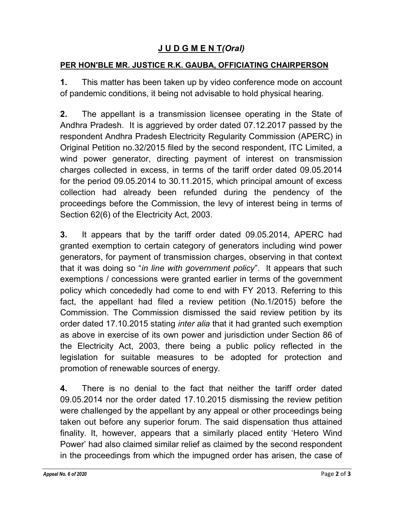# J U D G M E N T(Oral)

### PER HON'BLE MR. JUSTICE R.K. GAUBA, OFFICIATING CHAIRPERSON

1. This matter has been taken up by video conference mode on account of pandemic conditions, it being not advisable to hold physical hearing.

2. The appellant is a transmission licensee operating in the State of Andhra Pradesh. It is aggrieved by order dated 07.12.2017 passed by the respondent Andhra Pradesh Electricity Regularity Commission (APERC) in Original Petition no.32/2015 filed by the second respondent, ITC Limited, a wind power generator, directing payment of interest on transmission charges collected in excess, in terms of the tariff order dated 09.05.2014 for the period 09.05.2014 to 30.11.2015, which principal amount of excess collection had already been refunded during the pendency of the proceedings before the Commission, the levy of interest being in terms of Section 62(6) of the Electricity Act, 2003.

3. It appears that by the tariff order dated 09.05.2014, APERC had granted exemption to certain category of generators including wind power generators, for payment of transmission charges, observing in that context that it was doing so "in line with government policy". It appears that such exemptions / concessions were granted earlier in terms of the government policy which concededly had come to end with FY 2013. Referring to this fact, the appellant had filed a review petition (No.1/2015) before the Commission. The Commission dismissed the said review petition by its order dated 17.10.2015 stating *inter alia* that it had granted such exemption as above in exercise of its own power and jurisdiction under Section 86 of the Electricity Act, 2003, there being a public policy reflected in the legislation for suitable measures to be adopted for protection and promotion of renewable sources of energy.

4. There is no denial to the fact that neither the tariff order dated 09.05.2014 nor the order dated 17.10.2015 dismissing the review petition were challenged by the appellant by any appeal or other proceedings being taken out before any superior forum. The said dispensation thus attained finality. It, however, appears that a similarly placed entity 'Hetero Wind Power' had also claimed similar relief as claimed by the second respondent in the proceedings from which the impugned order has arisen, the case of